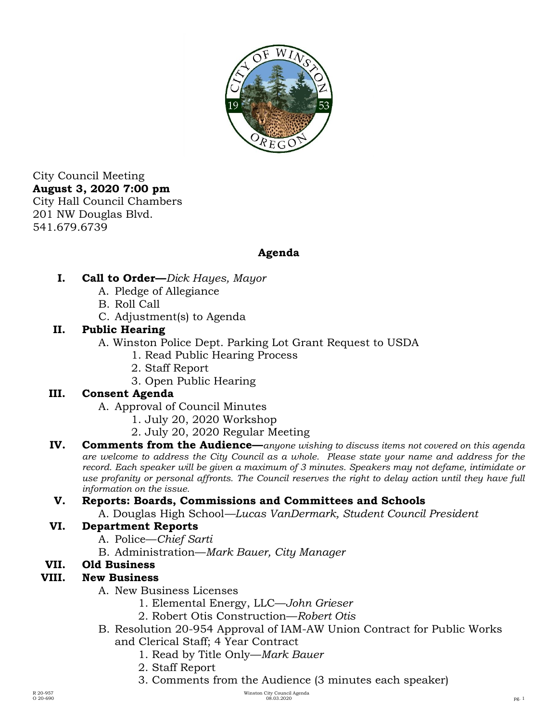

City Council Meeting **August 3, 2020 7:00 pm**  City Hall Council Chambers 201 NW Douglas Blvd. 541.679.6739

# **Agenda**

- **I. Call to Order—***Dick Hayes, Mayor* 
	- A. Pledge of Allegiance
	- B. Roll Call
	- C. Adjustment(s) to Agenda

### **II. Public Hearing**

- A. Winston Police Dept. Parking Lot Grant Request to USDA
	- 1. Read Public Hearing Process
	- 2. Staff Report
	- 3. Open Public Hearing

# **III. Consent Agenda**

A. Approval of Council Minutes

- 1. July 20, 2020 Workshop
- 2. July 20, 2020 Regular Meeting
- **IV. Comments from the Audience**—*anyone wishing to discuss items not covered on this agenda are welcome to address the City Council as a whole. Please state your name and address for the record. Each speaker will be given a maximum of 3 minutes. Speakers may not defame, intimidate or use profanity or personal affronts. The Council reserves the right to delay action until they have full information on the issue.*

# **V. Reports: Boards, Commissions and Committees and Schools**

A. Douglas High School*—Lucas VanDermark, Student Council President*

### **VI. Department Reports**

- A. Police—*Chief Sarti*
- B. Administration—*Mark Bauer, City Manager*

### **VII. Old Business**

### **VIII. New Business**

- A. New Business Licenses
	- 1. Elemental Energy, LLC—*John Grieser*
	- 2. Robert Otis Construction—*Robert Otis*
- B. Resolution 20-954 Approval of IAM-AW Union Contract for Public Works and Clerical Staff; 4 Year Contract
	- 1. Read by Title Only—*Mark Bauer*
	- 2. Staff Report
	- 3. Comments from the Audience (3 minutes each speaker)